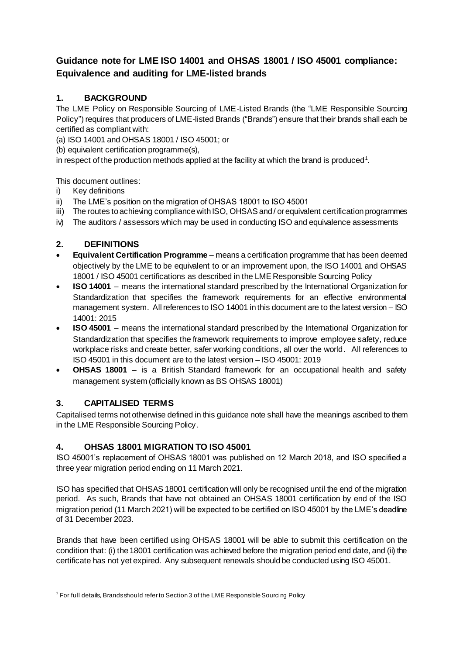# **Guidance note for LME ISO 14001 and OHSAS 18001 / ISO 45001 compliance: Equivalence and auditing for LME-listed brands**

# **1. BACKGROUND**

The LME Policy on Responsible Sourcing of LME-Listed Brands (the "LME Responsible Sourcing Policy") requires that producers of LME-listed Brands ("Brands") ensure that their brands shall each be certified as compliant with:

(a) ISO 14001 and OHSAS 18001 / ISO 45001; or

(b) equivalent certification programme(s),

in respect of the production methods applied at the facility at which the brand is produced<sup>1</sup>.

This document outlines:

- i) Key definitions
- ii) The LME's position on the migration of OHSAS 18001 to ISO 45001
- iii) The routes to achieving compliance with ISO, OHSAS and / or equivalent certification programmes
- iv) The auditors / assessors which may be used in conducting ISO and equivalence assessments

# **2. DEFINITIONS**

- **Equivalent Certification Programme** means a certification programme that has been deemed objectively by the LME to be equivalent to or an improvement upon, the ISO 14001 and OHSAS 18001 / ISO 45001 certifications as described in the LME Responsible Sourcing Policy
- **ISO 14001** means the international standard prescribed by the International Organization for Standardization that specifies the framework requirements for an effective environmental management system. All references to ISO 14001 in this document are to the latest version – ISO 14001: 2015
- **ISO 45001** means the international standard prescribed by the International Organization for Standardization that specifies the framework requirements to improve employee safety, reduce workplace risks and create better, safer working conditions, all over the world. All references to ISO 45001 in this document are to the latest version – ISO 45001: 2019
- **OHSAS 18001** is a British Standard framework for an occupational health and safety management system (officially known as BS OHSAS 18001)

## **3. CAPITALISED TERMS**

Capitalised terms not otherwise defined in this guidance note shall have the meanings ascribed to them in the LME Responsible Sourcing Policy.

## **4. OHSAS 18001 MIGRATION TO ISO 45001**

ISO 45001's replacement of OHSAS 18001 was published on 12 March 2018, and ISO specified a three year migration period ending on 11 March 2021.

ISO has specified that OHSAS 18001 certification will only be recognised until the end of the migration period. As such, Brands that have not obtained an OHSAS 18001 certification by end of the ISO migration period (11 March 2021) will be expected to be certified on ISO 45001 by the LME's deadline of 31 December 2023.

Brands that have been certified using OHSAS 18001 will be able to submit this certification on the condition that: (i) the 18001 certification was achieved before the migration period end date, and (ii) the certificate has not yet expired. Any subsequent renewals should be conducted using ISO 45001.

 1 For full details, Brandsshould refer to Section 3 of the LME Responsible Sourcing Policy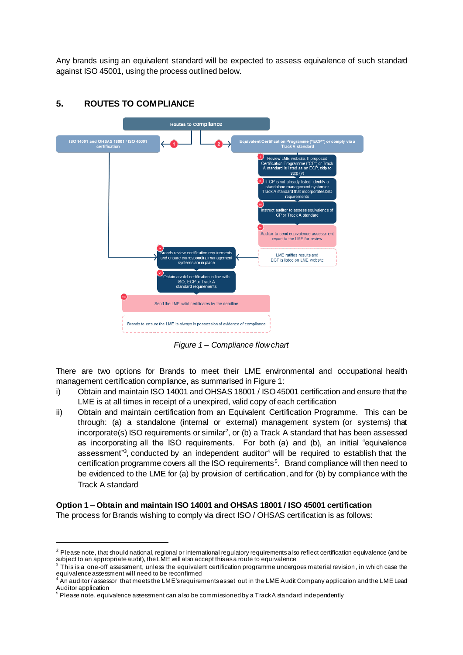Any brands using an equivalent standard will be expected to assess equivalence of such standard against ISO 45001, using the process outlined below.



#### **5. ROUTES TO COMPLIANCE**

*Figure 1 – Compliance flow chart*

There are two options for Brands to meet their LME environmental and occupational health management certification compliance, as summarised in Figure 1:

- i) Obtain and maintain ISO 14001 and OHSAS 18001 / ISO 45001 certification and ensure that the LME is at all times in receipt of a unexpired, valid copy of each certification
- ii) Obtain and maintain certification from an Equivalent Certification Programme. This can be through: (a) a standalone (internal or external) management system (or systems) that incorporate(s) ISO requirements or similar<sup>2</sup>, or (b) a Track A standard that has been assessed as incorporating all the ISO requirements. For both (a) and (b), an initial "equivalence assessment<sup>3</sup>, conducted by an independent auditor<sup>4</sup> will be required to establish that the certification programme covers all the ISO requirements<sup>5</sup>. Brand compliance will then need to be evidenced to the LME for (a) by provision of certification, and for (b) by compliance with the Track A standard

## **Option 1 – Obtain and maintain ISO 14001 and OHSAS 18001 / ISO 45001 certification**

The process for Brands wishing to comply via direct ISO / OHSAS certification is as follows:

 $\overline{a}$ 

<sup>&</sup>lt;sup>2</sup> Please note, that should national, regional or international regulatory requirements also reflect certification equivalence (and be subject to an appropriate audit), the LME will also accept this as a route to equivalence<br><sup>3</sup> This is a case off accomment, unless the equivalent estimation programme under

This is a one-off assessment, unless the equivalent certification programme undergoes material revision , in which case the equivalence assessment will need to be reconfirmed

<sup>4</sup> An auditor / assessor that meets the LME's requirements as set out in the LME Audit Company application and the LME Lead Auditor application

 $^5$  Please note, equivalence assessment can also be commissioned by a Track A standard independently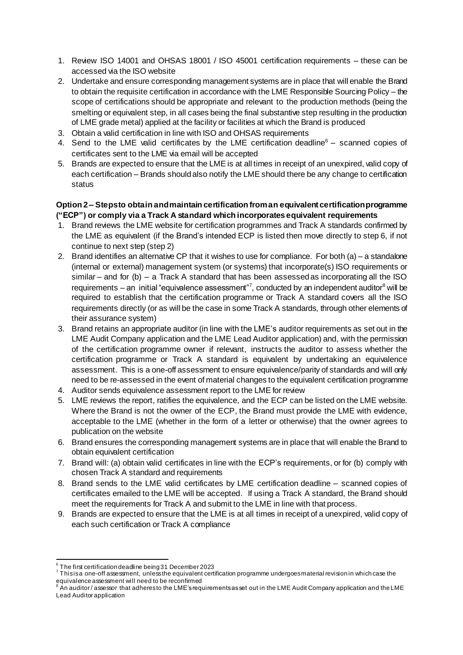- 1. Review ISO 14001 and OHSAS 18001 / ISO 45001 certification requirements these can be accessed via the ISO website
- 2. Undertake and ensure corresponding management systems are in place that will enable the Brand to obtain the requisite certification in accordance with the LME Responsible Sourcing Policy – the scope of certifications should be appropriate and relevant to the production methods (being the smelting or equivalent step, in all cases being the final substantive step resulting in the production of LME grade metal) applied at the facility or facilities at which the Brand is produced
- 3. Obtain a valid certification in line with ISO and OHSAS requirements
- 4. Send to the LME valid certificates by the LME certification deadline $<sup>6</sup>$  scanned copies of</sup> certificates sent to the LME via email will be accepted
- 5. Brands are expected to ensure that the LME is at all times in receipt of an unexpired, valid copy of each certification – Brands should also notify the LME should there be any change to certification status

#### **Option 2 – Steps to obtain and maintain certification from an equivalent certification programme ("ECP") or comply via a Track A standard which incorporates equivalent requirements**

- 1. Brand reviews the LME website for certification programmes and Track A standards confirmed by the LME as equivalent (if the Brand's intended ECP is listed then move directly to step 6, if not continue to next step (step 2)
- 2. Brand identifies an alternative CP that it wishes to use for compliance. For both (a) a standalone (internal or external) management system (or systems) that incorporate(s) ISO requirements or similar – and for  $(b)$  – a Track A standard that has been assessed as incorporating all the ISO requirements – an initial "equivalence assessment"7, conducted by an independent auditor<sup>8</sup> will be required to establish that the certification programme or Track A standard covers all the ISO requirements directly (or as will be the case in some Track A standards, through other elements of their assurance system)
- 3. Brand retains an appropriate auditor (in line with the LME's auditor requirements as set out in the LME Audit Company application and the LME Lead Auditor application) and, with the permission of the certification programme owner if relevant, instructs the auditor to assess whether the certification programme or Track A standard is equivalent by undertaking an equivalence assessment. This is a one-off assessment to ensure equivalence/parity of standards and will only need to be re-assessed in the event of material changes to the equivalent certification programme
- 4. Auditor sends equivalence assessment report to the LME for review
- 5. LME reviews the report, ratifies the equivalence, and the ECP can be listed on the LME website. Where the Brand is not the owner of the ECP, the Brand must provide the LME with evidence, acceptable to the LME (whether in the form of a letter or otherwise) that the owner agrees to publication on the website
- 6. Brand ensures the corresponding management systems are in place that will enable the Brand to obtain equivalent certification
- 7. Brand will: (a) obtain valid certificates in line with the ECP's requirements, or for (b) comply with chosen Track A standard and requirements
- 8. Brand sends to the LME valid certificates by LME certification deadline scanned copies of certificates emailed to the LME will be accepted. If using a Track A standard, the Brand should meet the requirements for Track A and submit to the LME in line with that process.
- 9. Brands are expected to ensure that the LME is at all times in receipt of a unexpired, valid copy of each such certification or Track A compliance

 6 The first certification deadline being 31 December 2023

 $^7$  This is a one-off assessment, unless the equivalent certification programme undergoes material revision in which case the equivalence assessment will need to be reconfirmed<br><sup>8</sup> An auditor / assessor that adheres to the LME's requirements as set out in the LME Audit Company application and the LME

Lead Auditor application